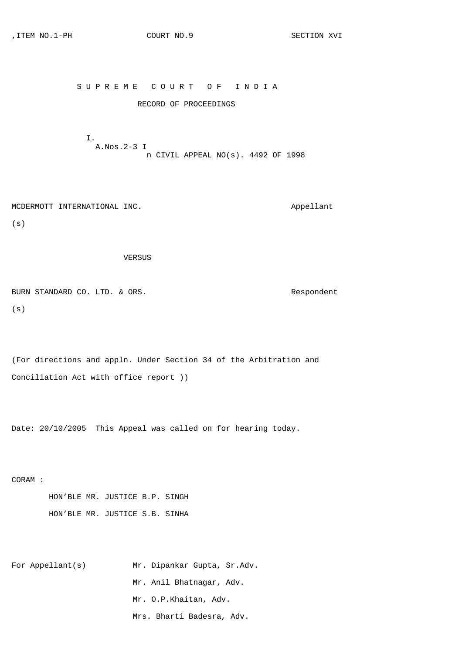## S U P R E M E C O U R T O F I N D I A

## RECORD OF PROCEEDINGS

 I. A.Nos.2-3 I n CIVIL APPEAL NO(s). 4492 OF 1998

MCDERMOTT INTERNATIONAL INC. Appellant

(s)

VERSUS

BURN STANDARD CO. LTD. & ORS. The state of the second-contract of the second second second second second second second second second second second second second second second second second second second second second secon (s)

(For directions and appln. Under Section 34 of the Arbitration and Conciliation Act with office report ))

Date: 20/10/2005 This Appeal was called on for hearing today.

CORAM :

 HON'BLE MR. JUSTICE B.P. SINGH HON'BLE MR. JUSTICE S.B. SINHA

For Appellant(s) Mr. Dipankar Gupta, Sr.Adv. Mr. Anil Bhatnagar, Adv. Mr. O.P.Khaitan, Adv. Mrs. Bharti Badesra, Adv.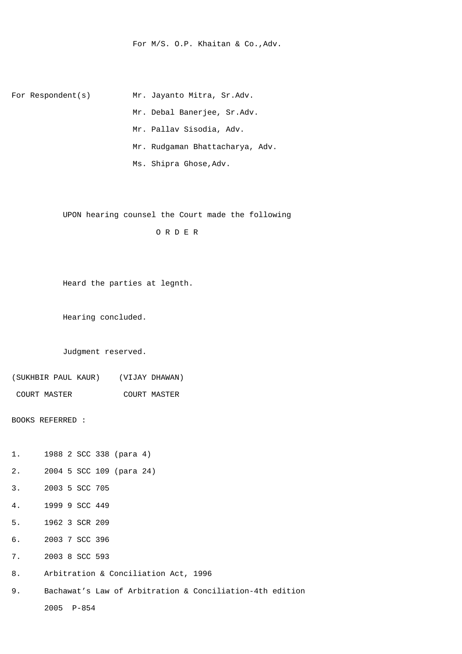For M/S. O.P. Khaitan & Co.,Adv.

For Respondent(s) Mr. Jayanto Mitra, Sr.Adv. Mr. Debal Banerjee, Sr.Adv. Mr. Pallav Sisodia, Adv. Mr. Rudgaman Bhattacharya, Adv. Ms. Shipra Ghose,Adv.

UPON hearing counsel the Court made the following

O R D E R

Heard the parties at legnth.

Hearing concluded.

Judgment reserved.

(SUKHBIR PAUL KAUR) (VIJAY DHAWAN)

COURT MASTER COURT MASTER

BOOKS REFERRED :

1. 1988 2 SCC 338 (para 4)

2. 2004 5 SCC 109 (para 24)

- 3. 2003 5 SCC 705
- 4. 1999 9 SCC 449
- 5. 1962 3 SCR 209
- 6. 2003 7 SCC 396
- 7. 2003 8 SCC 593
- 8. Arbitration & Conciliation Act, 1996

9. Bachawat's Law of Arbitration & Conciliation-4th edition 2005 P-854